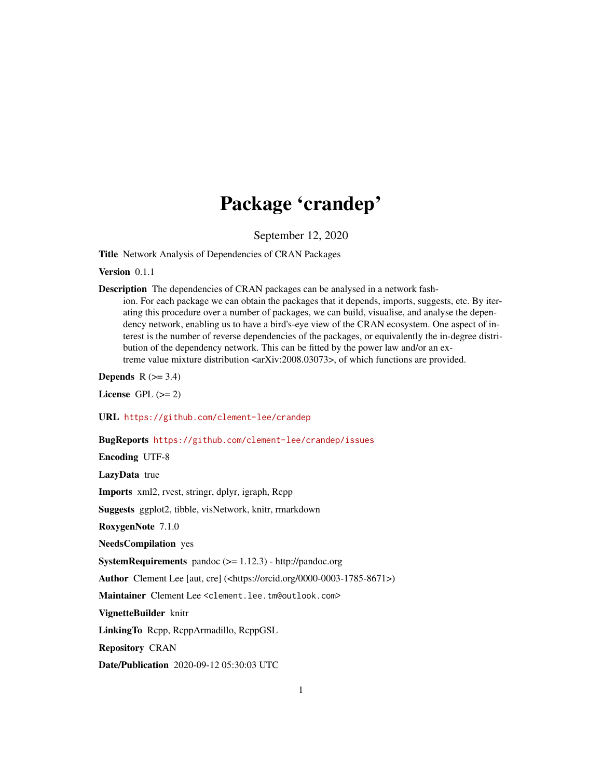## Package 'crandep'

September 12, 2020

Title Network Analysis of Dependencies of CRAN Packages

Version 0.1.1

Description The dependencies of CRAN packages can be analysed in a network fash-

ion. For each package we can obtain the packages that it depends, imports, suggests, etc. By iterating this procedure over a number of packages, we can build, visualise, and analyse the dependency network, enabling us to have a bird's-eye view of the CRAN ecosystem. One aspect of interest is the number of reverse dependencies of the packages, or equivalently the in-degree distribution of the dependency network. This can be fitted by the power law and/or an extreme value mixture distribution <arXiv:2008.03073>, of which functions are provided.

Depends  $R$  ( $>= 3.4$ )

License GPL  $(>= 2)$ 

URL <https://github.com/clement-lee/crandep>

BugReports <https://github.com/clement-lee/crandep/issues>

Encoding UTF-8

LazyData true

Imports xml2, rvest, stringr, dplyr, igraph, Rcpp

Suggests ggplot2, tibble, visNetwork, knitr, rmarkdown

RoxygenNote 7.1.0

NeedsCompilation yes

SystemRequirements pandoc (>= 1.12.3) - http://pandoc.org

Author Clement Lee [aut, cre] (<https://orcid.org/0000-0003-1785-8671>)

Maintainer Clement Lee <clement.lee.tm@outlook.com>

VignetteBuilder knitr

LinkingTo Rcpp, RcppArmadillo, RcppGSL

Repository CRAN

Date/Publication 2020-09-12 05:30:03 UTC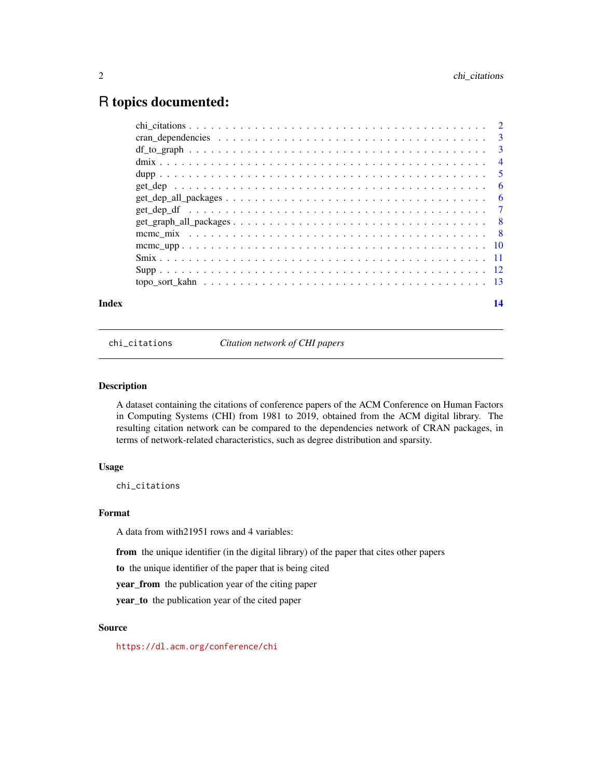## <span id="page-1-0"></span>R topics documented:

| Index |                                                                                                 | 14 |
|-------|-------------------------------------------------------------------------------------------------|----|
|       |                                                                                                 |    |
|       |                                                                                                 |    |
|       |                                                                                                 |    |
|       |                                                                                                 |    |
|       |                                                                                                 |    |
|       |                                                                                                 |    |
|       |                                                                                                 |    |
|       | $get\_dep\_all\_packages \ldots \ldots \ldots \ldots \ldots \ldots \ldots \ldots \ldots \ldots$ |    |
|       |                                                                                                 |    |
|       |                                                                                                 |    |
|       |                                                                                                 |    |
|       |                                                                                                 |    |
|       |                                                                                                 |    |
|       |                                                                                                 |    |

chi\_citations *Citation network of CHI papers*

#### Description

A dataset containing the citations of conference papers of the ACM Conference on Human Factors in Computing Systems (CHI) from 1981 to 2019, obtained from the ACM digital library. The resulting citation network can be compared to the dependencies network of CRAN packages, in terms of network-related characteristics, such as degree distribution and sparsity.

#### Usage

chi\_citations

#### Format

A data from with21951 rows and 4 variables:

from the unique identifier (in the digital library) of the paper that cites other papers

to the unique identifier of the paper that is being cited

year\_from the publication year of the citing paper

year\_to the publication year of the cited paper

#### Source

<https://dl.acm.org/conference/chi>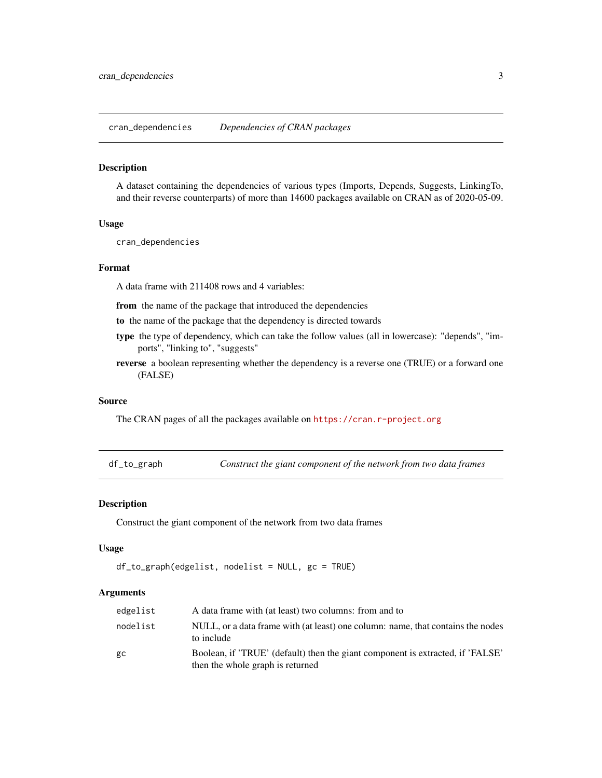<span id="page-2-0"></span>cran\_dependencies *Dependencies of CRAN packages*

#### Description

A dataset containing the dependencies of various types (Imports, Depends, Suggests, LinkingTo, and their reverse counterparts) of more than 14600 packages available on CRAN as of 2020-05-09.

#### Usage

cran\_dependencies

#### Format

A data frame with 211408 rows and 4 variables:

from the name of the package that introduced the dependencies

to the name of the package that the dependency is directed towards

- type the type of dependency, which can take the follow values (all in lowercase): "depends", "imports", "linking to", "suggests"
- reverse a boolean representing whether the dependency is a reverse one (TRUE) or a forward one (FALSE)

#### Source

The CRAN pages of all the packages available on <https://cran.r-project.org>

df\_to\_graph *Construct the giant component of the network from two data frames*

#### Description

Construct the giant component of the network from two data frames

#### Usage

```
df_to_graph(edgelist, nodelist = NULL, gc = TRUE)
```

| edgelist | A data frame with (at least) two columns: from and to                                                              |
|----------|--------------------------------------------------------------------------------------------------------------------|
| nodelist | NULL, or a data frame with (at least) one column: name, that contains the nodes<br>to include                      |
| gc       | Boolean, if 'TRUE' (default) then the giant component is extracted, if 'FALSE'<br>then the whole graph is returned |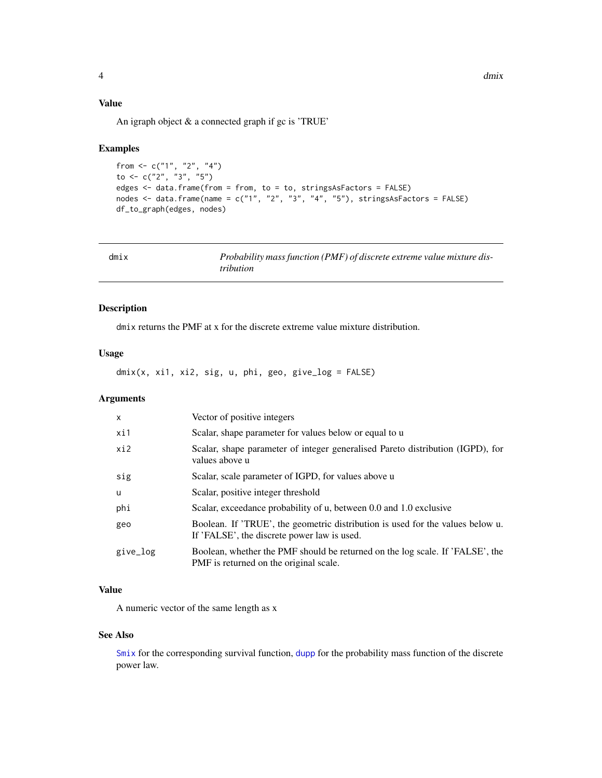#### <span id="page-3-0"></span>Value

An igraph object & a connected graph if gc is 'TRUE'

#### Examples

```
from <- c("1", "2", "4")
to <- c("2", "3", "5")
edges <- data.frame(from = from, to = to, stringsAsFactors = FALSE)
nodes \le data.frame(name = c("1", "2", "3", "4", "5"), stringsAsFactors = FALSE)
df_to_graph(edges, nodes)
```
<span id="page-3-1"></span>

| dmix | Probability mass function (PMF) of discrete extreme value mixture dis-<br><i>tribution</i> |
|------|--------------------------------------------------------------------------------------------|
|      |                                                                                            |

#### Description

dmix returns the PMF at x for the discrete extreme value mixture distribution.

#### Usage

dmix(x, xi1, xi2, sig, u, phi, geo, give\_log = FALSE)

#### Arguments

| $\mathsf{x}$ | Vector of positive integers                                                                                                   |
|--------------|-------------------------------------------------------------------------------------------------------------------------------|
| xi1          | Scalar, shape parameter for values below or equal to u                                                                        |
| xi2          | Scalar, shape parameter of integer generalised Pareto distribution (IGPD), for<br>values above u                              |
| sig          | Scalar, scale parameter of IGPD, for values above u                                                                           |
| u            | Scalar, positive integer threshold                                                                                            |
| phi          | Scalar, exceedance probability of u, between 0.0 and 1.0 exclusive                                                            |
| geo          | Boolean. If 'TRUE', the geometric distribution is used for the values below u.<br>If 'FALSE', the discrete power law is used. |
| give_log     | Boolean, whether the PMF should be returned on the log scale. If 'FALSE', the<br>PMF is returned on the original scale.       |

#### Value

A numeric vector of the same length as x

#### See Also

[Smix](#page-10-1) for the corresponding survival function, [dupp](#page-4-1) for the probability mass function of the discrete power law.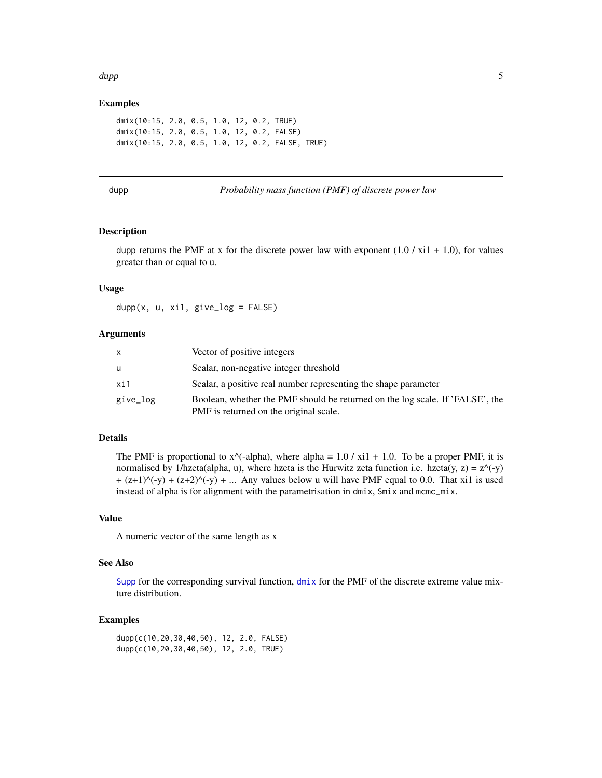#### <span id="page-4-0"></span>dupp 5.5 million of the contract of the contract of the contract of the contract of the contract of the contract of the contract of the contract of the contract of the contract of the contract of the contract of the contra

#### Examples

```
dmix(10:15, 2.0, 0.5, 1.0, 12, 0.2, TRUE)
dmix(10:15, 2.0, 0.5, 1.0, 12, 0.2, FALSE)
dmix(10:15, 2.0, 0.5, 1.0, 12, 0.2, FALSE, TRUE)
```
#### <span id="page-4-1"></span>dupp *Probability mass function (PMF) of discrete power law*

#### Description

dupp returns the PMF at x for the discrete power law with exponent  $(1.0 / x_i 1 + 1.0)$ , for values greater than or equal to u.

#### Usage

 $dupp(x, u, xi1, give_log = FALSE)$ 

#### Arguments

| X        | Vector of positive integers                                                                                             |
|----------|-------------------------------------------------------------------------------------------------------------------------|
| u        | Scalar, non-negative integer threshold                                                                                  |
| xi1      | Scalar, a positive real number representing the shape parameter                                                         |
| give_log | Boolean, whether the PMF should be returned on the log scale. If 'FALSE', the<br>PMF is returned on the original scale. |

#### Details

The PMF is proportional to  $x^{\wedge}$  -alpha), where alpha = 1.0 / xi1 + 1.0. To be a proper PMF, it is normalised by 1/hzeta(alpha, u), where hzeta is the Hurwitz zeta function i.e. hzeta(y, z) =  $z^{\wedge}$ (-y)  $+(z+1)^{(-y)} + (z+2)^{(-y)} + ...$  Any values below u will have PMF equal to 0.0. That xi1 is used instead of alpha is for alignment with the parametrisation in dmix, Smix and mcmc\_mix.

#### Value

A numeric vector of the same length as x

#### See Also

[Supp](#page-11-1) for the corresponding survival function,  $dm\dot{x}$  for the PMF of the discrete extreme value mixture distribution.

#### Examples

dupp(c(10,20,30,40,50), 12, 2.0, FALSE) dupp(c(10,20,30,40,50), 12, 2.0, TRUE)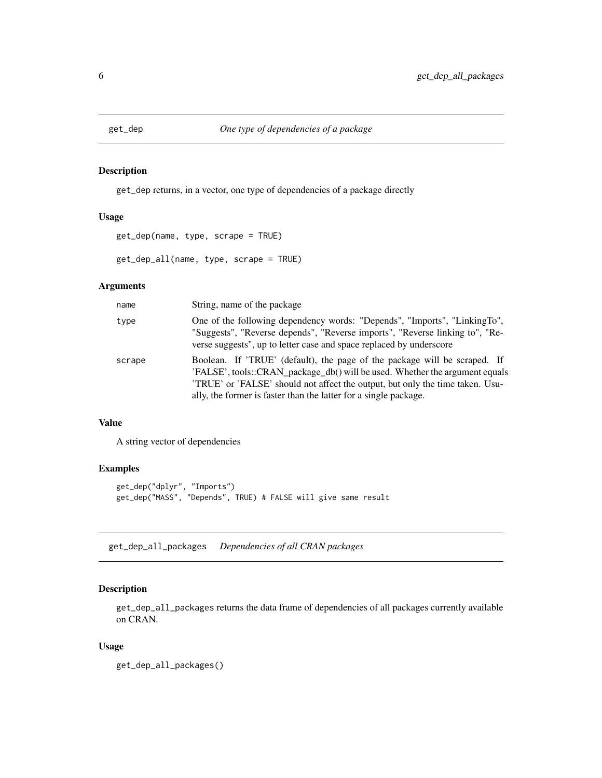<span id="page-5-0"></span>

#### Description

get\_dep returns, in a vector, one type of dependencies of a package directly

#### Usage

```
get_dep(name, type, scrape = TRUE)
```
get\_dep\_all(name, type, scrape = TRUE)

#### Arguments

| name   | String, name of the package                                                                                                                                                                                                                                                                                   |
|--------|---------------------------------------------------------------------------------------------------------------------------------------------------------------------------------------------------------------------------------------------------------------------------------------------------------------|
| type   | One of the following dependency words: "Depends", "Imports", "LinkingTo",<br>"Suggests", "Reverse depends", "Reverse imports", "Reverse linking to", "Re-<br>verse suggests", up to letter case and space replaced by underscore                                                                              |
| scrape | Boolean. If 'TRUE' (default), the page of the package will be scraped. If<br>'FALSE', tools::CRAN_package_db() will be used. Whether the argument equals<br>'TRUE' or 'FALSE' should not affect the output, but only the time taken. Usu-<br>ally, the former is faster than the latter for a single package. |

#### Value

A string vector of dependencies

#### Examples

```
get_dep("dplyr", "Imports")
get_dep("MASS", "Depends", TRUE) # FALSE will give same result
```
get\_dep\_all\_packages *Dependencies of all CRAN packages*

#### Description

get\_dep\_all\_packages returns the data frame of dependencies of all packages currently available on CRAN.

#### Usage

get\_dep\_all\_packages()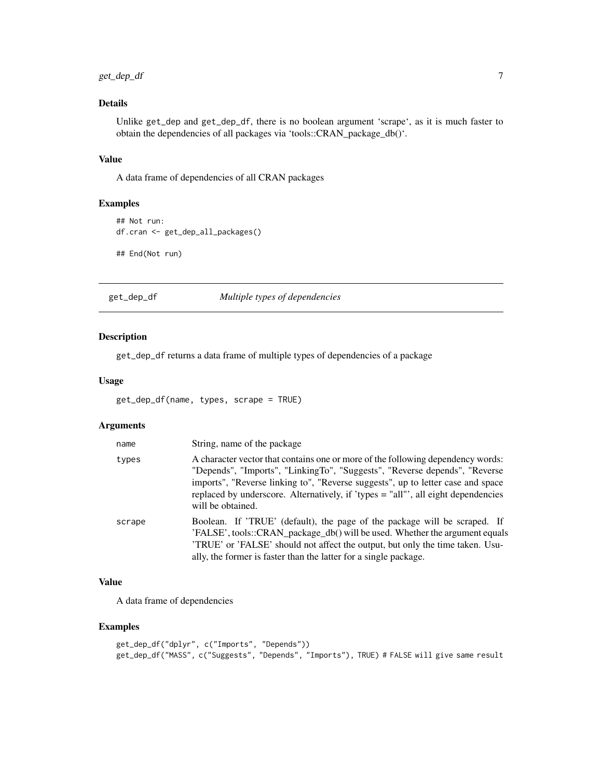#### <span id="page-6-0"></span>get\_dep\_df 7

#### Details

Unlike get\_dep and get\_dep\_df, there is no boolean argument 'scrape', as it is much faster to obtain the dependencies of all packages via 'tools::CRAN\_package\_db()'.

#### Value

A data frame of dependencies of all CRAN packages

#### Examples

```
## Not run:
df.cran <- get_dep_all_packages()
## End(Not run)
```
get\_dep\_df *Multiple types of dependencies*

#### Description

get\_dep\_df returns a data frame of multiple types of dependencies of a package

#### Usage

```
get_dep_df(name, types, scrape = TRUE)
```
#### Arguments

| name   | String, name of the package                                                                                                                                                                                                                                                                                                                                |
|--------|------------------------------------------------------------------------------------------------------------------------------------------------------------------------------------------------------------------------------------------------------------------------------------------------------------------------------------------------------------|
| types  | A character vector that contains one or more of the following dependency words:<br>"Depends", "Imports", "LinkingTo", "Suggests", "Reverse depends", "Reverse<br>imports", "Reverse linking to", "Reverse suggests", up to letter case and space<br>replaced by underscore. Alternatively, if 'types = "all"', all eight dependencies<br>will be obtained. |
| scrape | Boolean. If 'TRUE' (default), the page of the package will be scraped. If<br>'FALSE', tools::CRAN_package_db() will be used. Whether the argument equals<br>'TRUE' or 'FALSE' should not affect the output, but only the time taken. Usu-<br>ally, the former is faster than the latter for a single package.                                              |

#### Value

A data frame of dependencies

#### Examples

```
get_dep_df("dplyr", c("Imports", "Depends"))
get_dep_df("MASS", c("Suggests", "Depends", "Imports"), TRUE) # FALSE will give same result
```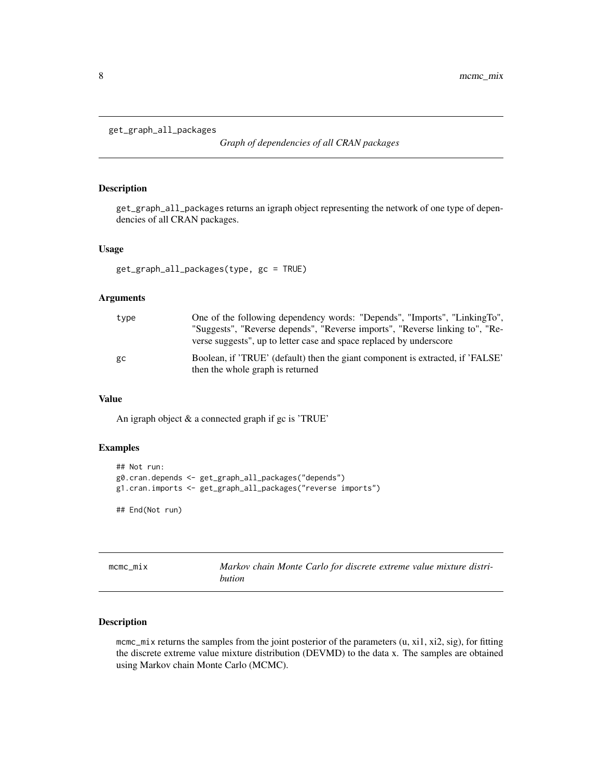```
get_graph_all_packages
```
*Graph of dependencies of all CRAN packages*

#### Description

get\_graph\_all\_packages returns an igraph object representing the network of one type of dependencies of all CRAN packages.

#### Usage

```
get_graph_all_packages(type, gc = TRUE)
```
#### Arguments

| type | One of the following dependency words: "Depends", "Imports", "LinkingTo",<br>"Suggests", "Reverse depends", "Reverse imports", "Reverse linking to", "Re-<br>verse suggests", up to letter case and space replaced by underscore |
|------|----------------------------------------------------------------------------------------------------------------------------------------------------------------------------------------------------------------------------------|
| gc   | Boolean, if 'TRUE' (default) then the giant component is extracted, if 'FALSE'<br>then the whole graph is returned                                                                                                               |

#### Value

An igraph object & a connected graph if gc is 'TRUE'

#### Examples

```
## Not run:
g0.cran.depends <- get_graph_all_packages("depends")
g1.cran.imports <- get_graph_all_packages("reverse imports")
## End(Not run)
```
<span id="page-7-1"></span>

| mcmc mix | Markov chain Monte Carlo for discrete extreme value mixture distri- |
|----------|---------------------------------------------------------------------|
|          | bution                                                              |

#### Description

mcmc\_mix returns the samples from the joint posterior of the parameters (u, xi1, xi2, sig), for fitting the discrete extreme value mixture distribution (DEVMD) to the data x. The samples are obtained using Markov chain Monte Carlo (MCMC).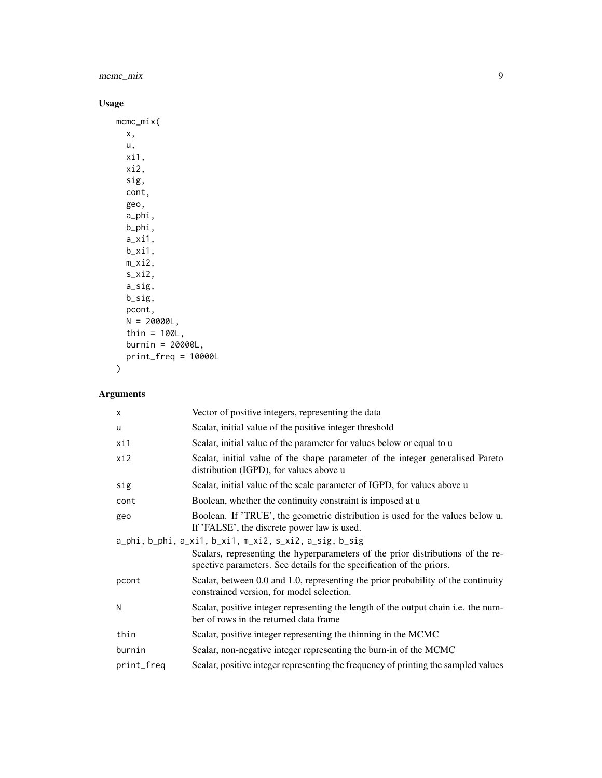mcmc\_mix 9

#### Usage

```
mcmc_mix(
  x,
  u,
  xi1,
  xi2,
  sig,
  cont,
  geo,
  a_phi,
  b_phi,
  a_xi1,
  b_xi1,
  m_xi2,
  s_xi2,
  a_sig,
  b_sig,
  pcont,
  N = 20000L,thin = 100L,
 burnin = 20000L,
  print_freq = 10000L
\overline{)}
```

| $\times$   | Vector of positive integers, representing the data                                                                                                       |
|------------|----------------------------------------------------------------------------------------------------------------------------------------------------------|
| u          | Scalar, initial value of the positive integer threshold                                                                                                  |
| xi1        | Scalar, initial value of the parameter for values below or equal to u                                                                                    |
| xi2        | Scalar, initial value of the shape parameter of the integer generalised Pareto<br>distribution (IGPD), for values above u                                |
| sig        | Scalar, initial value of the scale parameter of IGPD, for values above u                                                                                 |
| cont       | Boolean, whether the continuity constraint is imposed at u                                                                                               |
| geo        | Boolean. If 'TRUE', the geometric distribution is used for the values below u.<br>If 'FALSE', the discrete power law is used.                            |
|            | a_phi, b_phi, a_xi1, b_xi1, m_xi2, s_xi2, a_sig, b_sig                                                                                                   |
|            | Scalars, representing the hyperparameters of the prior distributions of the re-<br>spective parameters. See details for the specification of the priors. |
| pcont      | Scalar, between 0.0 and 1.0, representing the prior probability of the continuity<br>constrained version, for model selection.                           |
| N          | Scalar, positive integer representing the length of the output chain <i>i.e.</i> the num-<br>ber of rows in the returned data frame                      |
| thin       | Scalar, positive integer representing the thinning in the MCMC                                                                                           |
| burnin     | Scalar, non-negative integer representing the burn-in of the MCMC                                                                                        |
| print_freq | Scalar, positive integer representing the frequency of printing the sampled values                                                                       |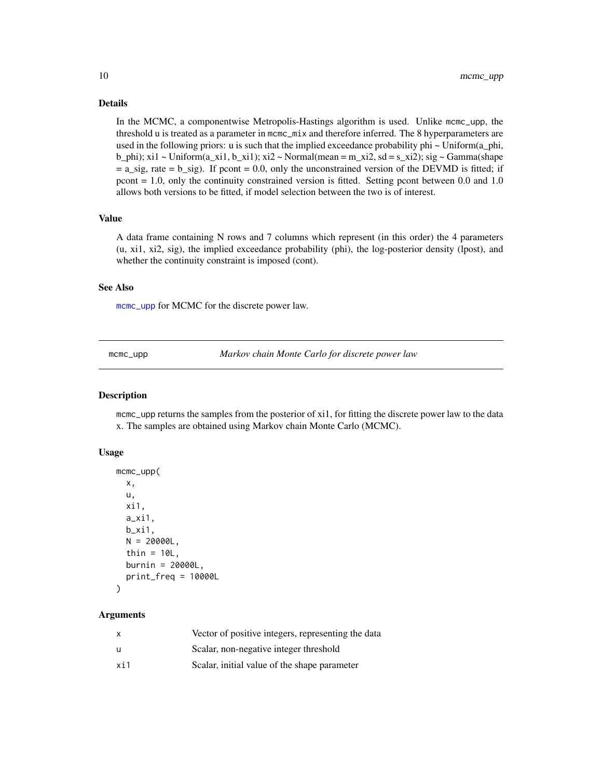#### <span id="page-9-0"></span>Details

In the MCMC, a componentwise Metropolis-Hastings algorithm is used. Unlike mcmc\_upp, the threshold u is treated as a parameter in mcmc\_mix and therefore inferred. The 8 hyperparameters are used in the following priors: u is such that the implied exceedance probability phi  $\sim$  Uniform(a\_phi, b\_phi); xi1 ~ Uniform( $a_x$ i1,  $b_x$ i1); xi2 ~ Normal(mean = m\_xi2, sd = s\_xi2); sig ~ Gamma(shape  $= a$  sig, rate  $= b$  sig). If pcont  $= 0.0$ , only the unconstrained version of the DEVMD is fitted; if pcont = 1.0, only the continuity constrained version is fitted. Setting pcont between 0.0 and 1.0 allows both versions to be fitted, if model selection between the two is of interest.

#### Value

A data frame containing N rows and 7 columns which represent (in this order) the 4 parameters (u, xi1, xi2, sig), the implied exceedance probability (phi), the log-posterior density (lpost), and whether the continuity constraint is imposed (cont).

#### See Also

[mcmc\\_upp](#page-9-1) for MCMC for the discrete power law.

<span id="page-9-1"></span>mcmc\_upp *Markov chain Monte Carlo for discrete power law*

#### Description

mcmc\_upp returns the samples from the posterior of xi1, for fitting the discrete power law to the data x. The samples are obtained using Markov chain Monte Carlo (MCMC).

#### Usage

```
mcmc_upp(
  x,
 u,
 xi1,
  a_xi1,
 b_xi1,
 N = 20000L,
  thin = 10L,
 burnin = 20000L,
 print_freq = 10000L
)
```

| x   | Vector of positive integers, representing the data |
|-----|----------------------------------------------------|
| u   | Scalar, non-negative integer threshold             |
| xi1 | Scalar, initial value of the shape parameter       |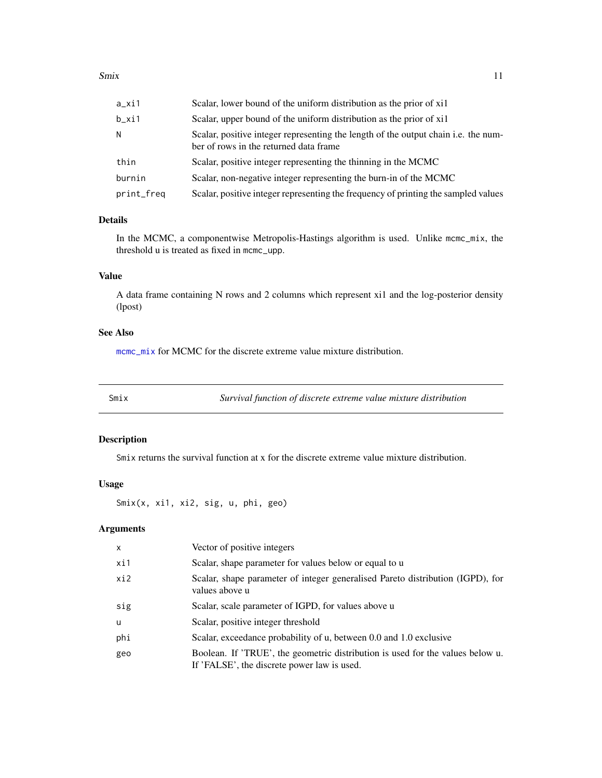<span id="page-10-0"></span>

| a_xi1      | Scalar, lower bound of the uniform distribution as the prior of xil                                                          |
|------------|------------------------------------------------------------------------------------------------------------------------------|
| b_xi1      | Scalar, upper bound of the uniform distribution as the prior of xil                                                          |
| Ν          | Scalar, positive integer representing the length of the output chain i.e. the num-<br>ber of rows in the returned data frame |
| thin       | Scalar, positive integer representing the thinning in the MCMC                                                               |
| burnin     | Scalar, non-negative integer representing the burn-in of the MCMC                                                            |
| print_freq | Scalar, positive integer representing the frequency of printing the sampled values                                           |

#### Details

In the MCMC, a componentwise Metropolis-Hastings algorithm is used. Unlike  $m_{\text{cm}} = m \times x$ , the threshold u is treated as fixed in mcmc\_upp.

#### Value

A data frame containing N rows and 2 columns which represent xi1 and the log-posterior density (lpost)

#### See Also

[mcmc\\_mix](#page-7-1) for MCMC for the discrete extreme value mixture distribution.

<span id="page-10-1"></span>Smix *Survival function of discrete extreme value mixture distribution*

#### Description

Smix returns the survival function at x for the discrete extreme value mixture distribution.

#### Usage

Smix(x, xi1, xi2, sig, u, phi, geo)

| $\mathsf{x}$ | Vector of positive integers                                                                                                   |
|--------------|-------------------------------------------------------------------------------------------------------------------------------|
| xi1          | Scalar, shape parameter for values below or equal to u                                                                        |
| xi2          | Scalar, shape parameter of integer generalised Pareto distribution (IGPD), for<br>values above u                              |
| sig          | Scalar, scale parameter of IGPD, for values above u                                                                           |
| u            | Scalar, positive integer threshold                                                                                            |
| phi          | Scalar, exceedance probability of u, between 0.0 and 1.0 exclusive                                                            |
| geo          | Boolean. If 'TRUE', the geometric distribution is used for the values below u.<br>If 'FALSE', the discrete power law is used. |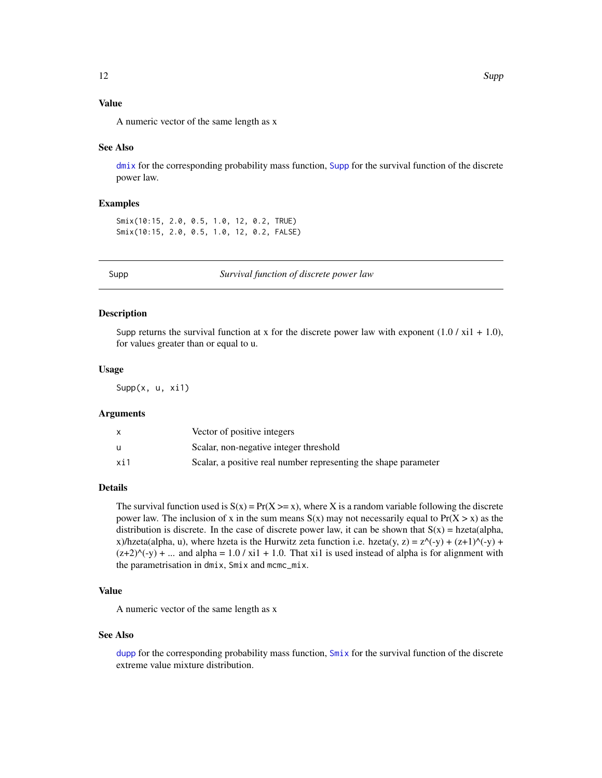#### <span id="page-11-0"></span>Value

A numeric vector of the same length as x

#### See Also

 $dmix$  for the corresponding probability mass function, [Supp](#page-11-1) for the survival function of the discrete power law.

#### Examples

Smix(10:15, 2.0, 0.5, 1.0, 12, 0.2, TRUE) Smix(10:15, 2.0, 0.5, 1.0, 12, 0.2, FALSE)

<span id="page-11-1"></span>

Supp *Survival function of discrete power law*

#### Description

Supp returns the survival function at x for the discrete power law with exponent  $(1.0 / x_11 + 1.0)$ , for values greater than or equal to u.

#### Usage

Supp(x, u, xi1)

#### Arguments

|     | Vector of positive integers                                     |
|-----|-----------------------------------------------------------------|
| u   | Scalar, non-negative integer threshold                          |
| xi1 | Scalar, a positive real number representing the shape parameter |

#### Details

The survival function used is  $S(x) = Pr(X \ge x)$ , where X is a random variable following the discrete power law. The inclusion of x in the sum means  $S(x)$  may not necessarily equal to  $Pr(X > x)$  as the distribution is discrete. In the case of discrete power law, it can be shown that  $S(x) = hzeta(alpha)$ , x)/hzeta(alpha, u), where hzeta is the Hurwitz zeta function i.e. hzeta(y, z) =  $z^{\wedge}$ (-y) + (z+1) $^{\wedge}$ (-y) +  $(z+2)$ <sup> $\land$ </sup> $\langle$ -y) + ... and alpha = 1.0 / xi1 + 1.0. That xi1 is used instead of alpha is for alignment with the parametrisation in dmix, Smix and mcmc\_mix.

#### Value

A numeric vector of the same length as x

#### See Also

[dupp](#page-4-1) for the corresponding probability mass function, [Smix](#page-10-1) for the survival function of the discrete extreme value mixture distribution.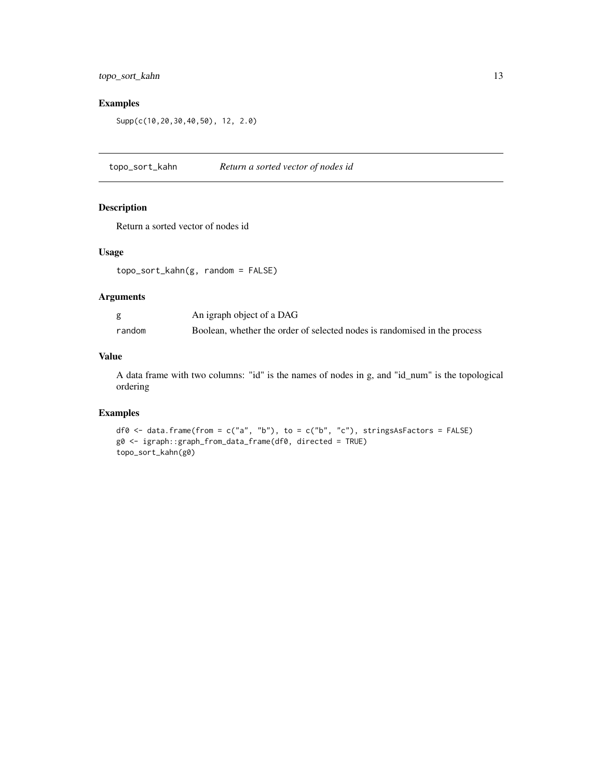#### <span id="page-12-0"></span>topo\_sort\_kahn 13

#### Examples

```
Supp(c(10,20,30,40,50), 12, 2.0)
```
topo\_sort\_kahn *Return a sorted vector of nodes id*

#### Description

Return a sorted vector of nodes id

#### Usage

```
topo_sort_kahn(g, random = FALSE)
```
#### Arguments

|        | An igraph object of a DAG                                                 |
|--------|---------------------------------------------------------------------------|
| random | Boolean, whether the order of selected nodes is randomised in the process |

#### Value

A data frame with two columns: "id" is the names of nodes in g, and "id\_num" is the topological ordering

#### Examples

```
df0 <- data.frame(from = c("a", "b"), to = c("b", "c"), stringsAsFactors = FALSE)
g0 <- igraph::graph_from_data_frame(df0, directed = TRUE)
topo_sort_kahn(g0)
```